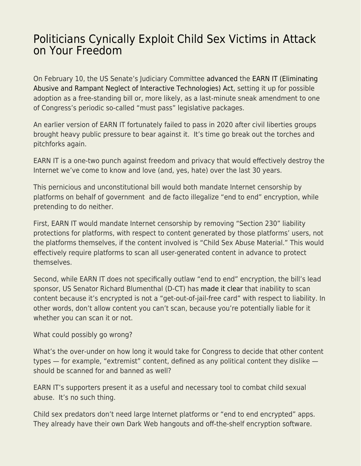## [Politicians Cynically Exploit Child Sex Victims in Attack](https://everything-voluntary.com/politicians-cynically-exploit-child-sex-victims-in-attack-on-your-freedom) [on Your Freedom](https://everything-voluntary.com/politicians-cynically-exploit-child-sex-victims-in-attack-on-your-freedom)

On February 10, the US Senate's Judiciary Committee [advanced](https://www.eff.org/deeplinks/2022/02/key-senators-have-voted-anti-encryption-earn-it-act) the [EARN IT \(Eliminating](https://www.congress.gov/bill/117th-congress/senate-bill/3538) [Abusive and Rampant Neglect of Interactive Technologies\) Act,](https://www.congress.gov/bill/117th-congress/senate-bill/3538) setting it up for possible adoption as a free-standing bill or, more likely, as a last-minute sneak amendment to one of Congress's periodic so-called "must pass" legislative packages.

An earlier version of EARN IT fortunately failed to pass in 2020 after civil liberties groups brought heavy public pressure to bear against it. It's time go break out the torches and pitchforks again.

EARN IT is a one-two punch against freedom and privacy that would effectively destroy the Internet we've come to know and love (and, yes, hate) over the last 30 years.

This pernicious and unconstitutional bill would both mandate Internet censorship by platforms on behalf of government and de facto illegalize "end to end" encryption, while pretending to do neither.

First, EARN IT would mandate Internet censorship by removing "Section 230" liability protections for platforms, with respect to content generated by those platforms' users, not the platforms themselves, if the content involved is "Child Sex Abuse Material." This would effectively require platforms to scan all user-generated content in advance to protect themselves.

Second, while EARN IT does not specifically outlaw "end to end" encryption, the bill's lead sponsor, US Senator Richard Blumenthal (D-CT) has [made it clear](https://www.techdirt.com/articles/20220210/09311048445/senator-blumenthal-after-years-denial-admits-hes-targeting-encryption-with-earn-it.shtml) that inability to scan content because it's encrypted is not a "get-out-of-jail-free card" with respect to liability. In other words, don't allow content you can't scan, because you're potentially liable for it whether you can scan it or not.

What could possibly go wrong?

What's the over-under on how long it would take for Congress to decide that other content types — for example, "extremist" content, defined as any political content they dislike should be scanned for and banned as well?

EARN IT's supporters present it as a useful and necessary tool to combat child sexual abuse. It's no such thing.

Child sex predators don't need large Internet platforms or "end to end encrypted" apps. They already have their own Dark Web hangouts and off-the-shelf encryption software.